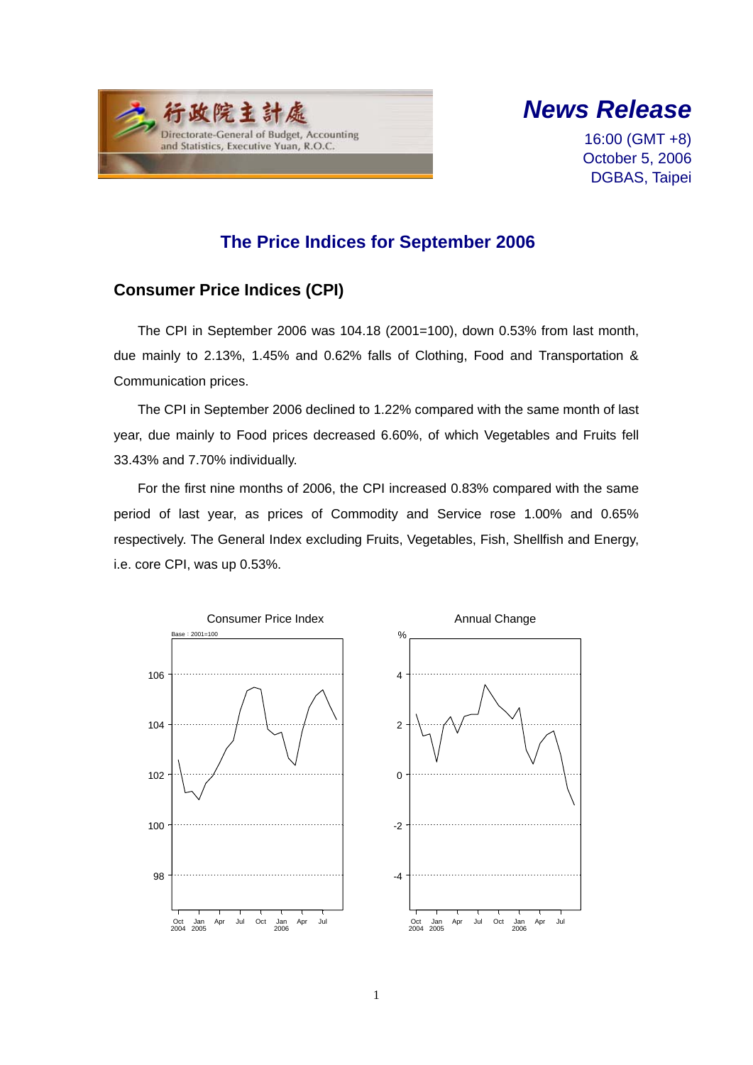



16:00 (GMT +8) October 5, 2006 DGBAS, Taipei

## **The Price Indices for September 2006**

### **Consumer Price Indices (CPI)**

The CPI in September 2006 was 104.18 (2001=100), down 0.53% from last month, due mainly to 2.13%, 1.45% and 0.62% falls of Clothing, Food and Transportation & Communication prices.

The CPI in September 2006 declined to 1.22% compared with the same month of last year, due mainly to Food prices decreased 6.60%, of which Vegetables and Fruits fell 33.43% and 7.70% individually.

For the first nine months of 2006, the CPI increased 0.83% compared with the same period of last year, as prices of Commodity and Service rose 1.00% and 0.65% respectively. The General Index excluding Fruits, Vegetables, Fish, Shellfish and Energy, i.e. core CPI, was up 0.53%.

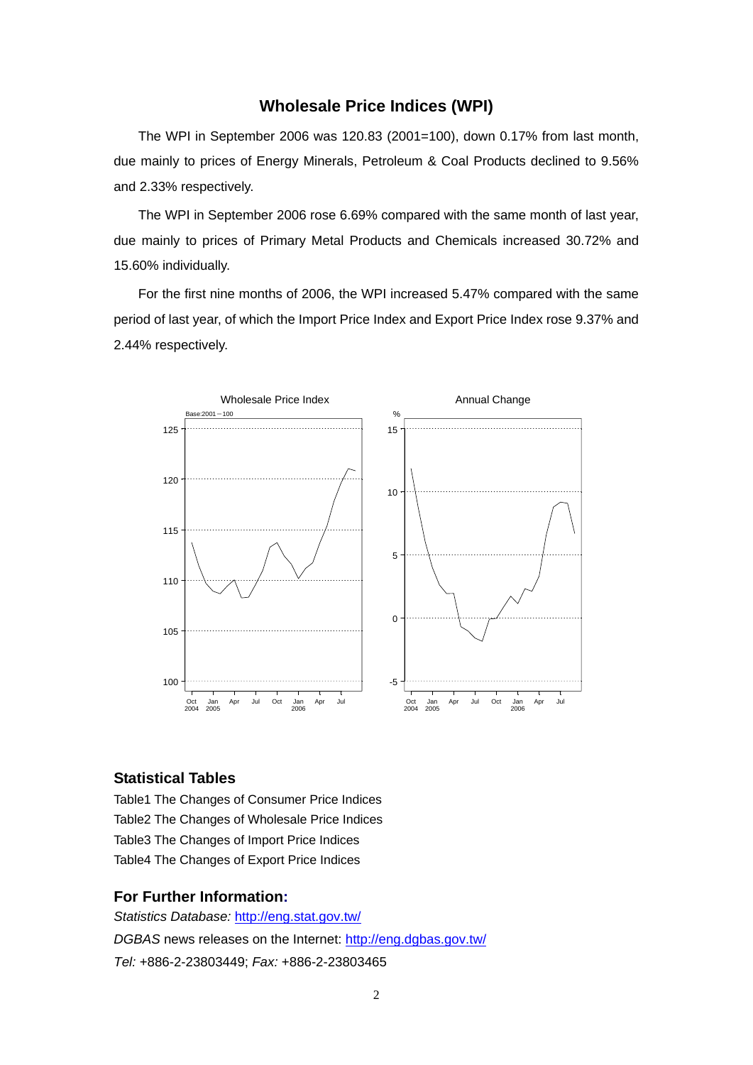#### **Wholesale Price Indices (WPI)**

The WPI in September 2006 was 120.83 (2001=100), down 0.17% from last month, due mainly to prices of Energy Minerals, Petroleum & Coal Products declined to 9.56% and 2.33% respectively.

The WPI in September 2006 rose 6.69% compared with the same month of last year, due mainly to prices of Primary Metal Products and Chemicals increased 30.72% and 15.60% individually.

For the first nine months of 2006, the WPI increased 5.47% compared with the same period of last year, of which the Import Price Index and Export Price Index rose 9.37% and 2.44% respectively.



#### **Statistical Tables**

Table1 The Changes of Consumer Price Indices Table2 The Changes of Wholesale Price Indices Table3 The Changes of Import Price Indices Table4 The Changes of Export Price Indices

#### **For Further Information:**

*Statistics Database:* http://eng.stat.gov.tw/ *DGBAS* news releases on the Internet: http://eng.dgbas.gov.tw/ *Tel:* +886-2-23803449; *Fax:* +886-2-23803465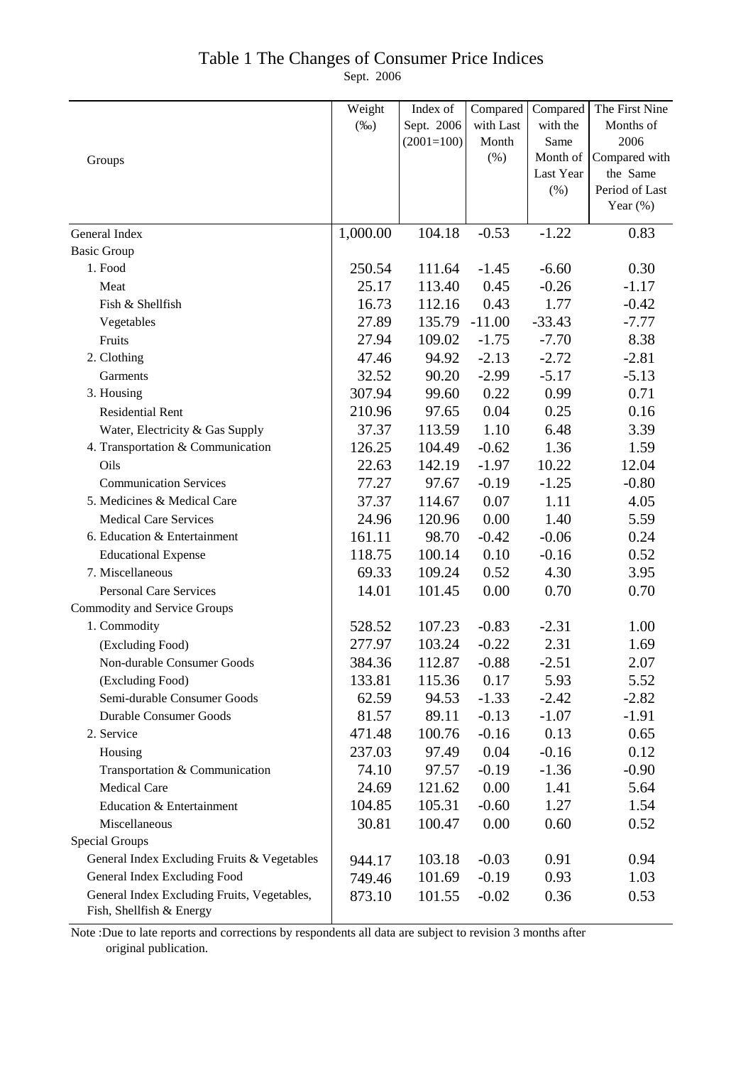### Table 1 The Changes of Consumer Price Indices

Sept. 2006

|                                                                         | Weight   | Index of     | Compared  | Compared              | The First Nine            |
|-------------------------------------------------------------------------|----------|--------------|-----------|-----------------------|---------------------------|
|                                                                         | $(\%0)$  | Sept. 2006   | with Last | with the              | Months of                 |
|                                                                         |          | $(2001=100)$ | Month     | Same                  | 2006                      |
| Groups                                                                  |          |              | (%)       | Month of<br>Last Year | Compared with<br>the Same |
|                                                                         |          |              |           | (%)                   | Period of Last            |
|                                                                         |          |              |           |                       | Year $(\%)$               |
|                                                                         |          |              |           |                       |                           |
| General Index                                                           | 1,000.00 | 104.18       | $-0.53$   | $-1.22$               | 0.83                      |
| <b>Basic Group</b>                                                      |          |              |           |                       |                           |
| 1. Food                                                                 | 250.54   | 111.64       | $-1.45$   | $-6.60$               | 0.30                      |
| Meat                                                                    | 25.17    | 113.40       | 0.45      | $-0.26$               | $-1.17$                   |
| Fish & Shellfish                                                        | 16.73    | 112.16       | 0.43      | 1.77                  | $-0.42$                   |
| Vegetables                                                              | 27.89    | 135.79       | $-11.00$  | $-33.43$              | $-7.77$                   |
| Fruits                                                                  | 27.94    | 109.02       | $-1.75$   | $-7.70$               | 8.38                      |
| 2. Clothing                                                             | 47.46    | 94.92        | $-2.13$   | $-2.72$               | $-2.81$                   |
| Garments                                                                | 32.52    | 90.20        | $-2.99$   | $-5.17$               | $-5.13$                   |
| 3. Housing                                                              | 307.94   | 99.60        | 0.22      | 0.99                  | 0.71                      |
| Residential Rent                                                        | 210.96   | 97.65        | 0.04      | 0.25                  | 0.16                      |
| Water, Electricity & Gas Supply                                         | 37.37    | 113.59       | 1.10      | 6.48                  | 3.39                      |
| 4. Transportation & Communication                                       | 126.25   | 104.49       | $-0.62$   | 1.36                  | 1.59                      |
| Oils                                                                    | 22.63    | 142.19       | $-1.97$   | 10.22                 | 12.04                     |
| <b>Communication Services</b>                                           | 77.27    | 97.67        | $-0.19$   | $-1.25$               | $-0.80$                   |
| 5. Medicines & Medical Care                                             | 37.37    | 114.67       | 0.07      | 1.11                  | 4.05                      |
| <b>Medical Care Services</b>                                            | 24.96    | 120.96       | 0.00      | 1.40                  | 5.59                      |
| 6. Education & Entertainment                                            | 161.11   | 98.70        | $-0.42$   | $-0.06$               | 0.24                      |
| <b>Educational Expense</b>                                              | 118.75   | 100.14       | 0.10      | $-0.16$               | 0.52                      |
| 7. Miscellaneous                                                        | 69.33    | 109.24       | 0.52      | 4.30                  | 3.95                      |
| <b>Personal Care Services</b>                                           | 14.01    | 101.45       | 0.00      | 0.70                  | 0.70                      |
| <b>Commodity and Service Groups</b>                                     |          |              |           |                       |                           |
| 1. Commodity                                                            | 528.52   | 107.23       | $-0.83$   | $-2.31$               | 1.00                      |
| (Excluding Food)                                                        | 277.97   | 103.24       | $-0.22$   | 2.31                  | 1.69                      |
| Non-durable Consumer Goods                                              | 384.36   | 112.87       | $-0.88$   | $-2.51$               | 2.07                      |
| (Excluding Food)                                                        | 133.81   | 115.36       | 0.17      | 5.93                  | 5.52                      |
| Semi-durable Consumer Goods                                             | 62.59    | 94.53        | $-1.33$   | $-2.42$               | $-2.82$                   |
| <b>Durable Consumer Goods</b>                                           | 81.57    | 89.11        | $-0.13$   | $-1.07$               | $-1.91$                   |
| 2. Service                                                              | 471.48   | 100.76       | $-0.16$   | 0.13                  | 0.65                      |
| Housing                                                                 | 237.03   | 97.49        | 0.04      | $-0.16$               | 0.12                      |
| Transportation & Communication                                          | 74.10    | 97.57        | $-0.19$   | $-1.36$               | $-0.90$                   |
| <b>Medical Care</b>                                                     | 24.69    | 121.62       | 0.00      | 1.41                  | 5.64                      |
| Education & Entertainment                                               | 104.85   | 105.31       | $-0.60$   | 1.27                  | 1.54                      |
| Miscellaneous                                                           | 30.81    | 100.47       | 0.00      | 0.60                  | 0.52                      |
| <b>Special Groups</b>                                                   |          |              |           |                       |                           |
| General Index Excluding Fruits & Vegetables                             | 944.17   | 103.18       | $-0.03$   | 0.91                  | 0.94                      |
| General Index Excluding Food                                            | 749.46   | 101.69       | $-0.19$   | 0.93                  | 1.03                      |
| General Index Excluding Fruits, Vegetables,<br>Fish, Shellfish & Energy | 873.10   | 101.55       | $-0.02$   | 0.36                  | 0.53                      |

Note :Due to late reports and corrections by respondents all data are subject to revision 3 months after original publication.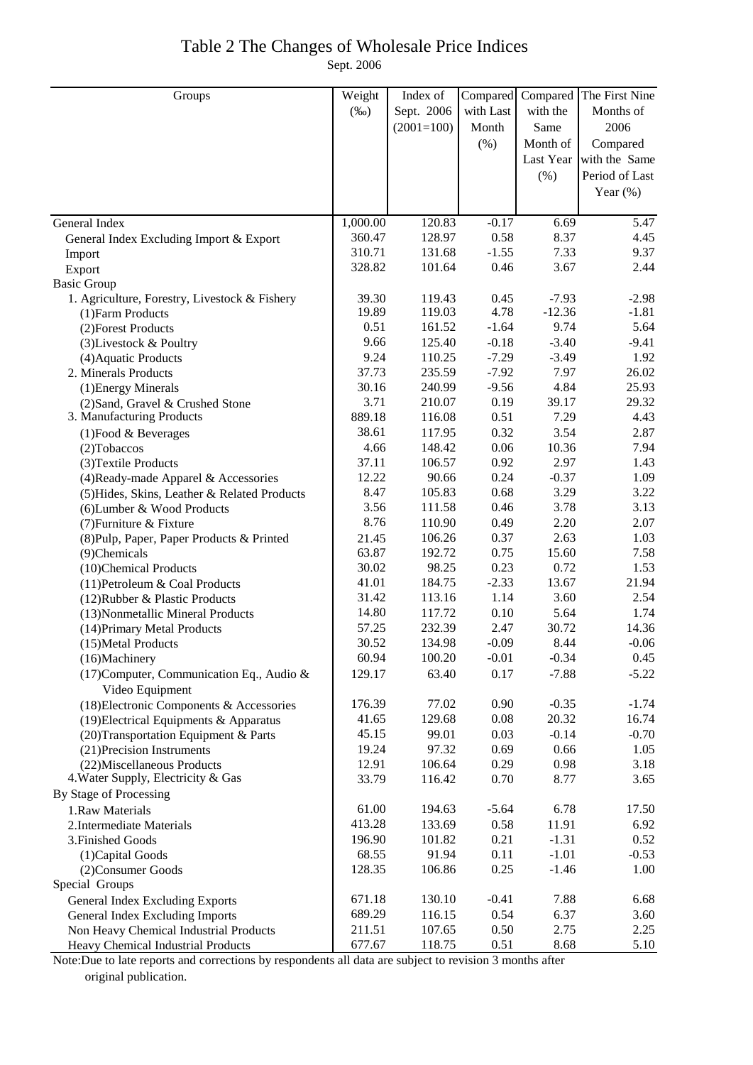## Table 2 The Changes of Wholesale Price Indices

Sept. 2006

| Groups                                                       | Weight   | Index of     | Compared  |           | Compared The First Nine |
|--------------------------------------------------------------|----------|--------------|-----------|-----------|-------------------------|
|                                                              | $(\%0)$  | Sept. 2006   | with Last | with the  | Months of               |
|                                                              |          | $(2001=100)$ | Month     | Same      | 2006                    |
|                                                              |          |              | (%)       | Month of  | Compared                |
|                                                              |          |              |           | Last Year | with the Same           |
|                                                              |          |              |           | $(\% )$   | Period of Last          |
|                                                              |          |              |           |           | Year $(\%)$             |
|                                                              |          |              |           |           |                         |
| General Index                                                | 1,000.00 | 120.83       | $-0.17$   | 6.69      | $\overline{5}$ .47      |
| General Index Excluding Import & Export                      | 360.47   | 128.97       | 0.58      | 8.37      | 4.45                    |
| Import                                                       | 310.71   | 131.68       | $-1.55$   | 7.33      | 9.37                    |
| Export                                                       | 328.82   | 101.64       | 0.46      | 3.67      | 2.44                    |
| <b>Basic Group</b>                                           |          |              |           |           |                         |
| 1. Agriculture, Forestry, Livestock & Fishery                | 39.30    | 119.43       | 0.45      | $-7.93$   | $-2.98$                 |
| (1) Farm Products                                            | 19.89    | 119.03       | 4.78      | $-12.36$  | $-1.81$                 |
| (2) Forest Products                                          | 0.51     | 161.52       | $-1.64$   | 9.74      | 5.64                    |
| (3) Livestock & Poultry                                      | 9.66     | 125.40       | $-0.18$   | $-3.40$   | $-9.41$                 |
| (4) Aquatic Products                                         | 9.24     | 110.25       | $-7.29$   | $-3.49$   | 1.92                    |
| 2. Minerals Products                                         | 37.73    | 235.59       | $-7.92$   | 7.97      | 26.02                   |
| (1) Energy Minerals                                          | 30.16    | 240.99       | $-9.56$   | 4.84      | 25.93                   |
| (2) Sand, Gravel & Crushed Stone                             | 3.71     | 210.07       | 0.19      | 39.17     | 29.32                   |
| 3. Manufacturing Products                                    | 889.18   | 116.08       | 0.51      | 7.29      | 4.43                    |
| $(1)$ Food & Beverages                                       | 38.61    | 117.95       | 0.32      | 3.54      | 2.87                    |
| $(2)$ Tobaccos                                               | 4.66     | 148.42       | 0.06      | 10.36     | 7.94                    |
| (3) Textile Products                                         | 37.11    | 106.57       | 0.92      | 2.97      | 1.43                    |
| (4) Ready-made Apparel & Accessories                         | 12.22    | 90.66        | 0.24      | $-0.37$   | 1.09                    |
| (5) Hides, Skins, Leather & Related Products                 | 8.47     | 105.83       | 0.68      | 3.29      | 3.22                    |
| (6) Lumber & Wood Products                                   | 3.56     | 111.58       | 0.46      | 3.78      | 3.13                    |
| (7) Furniture & Fixture                                      | 8.76     | 110.90       | 0.49      | 2.20      | 2.07                    |
| (8) Pulp, Paper, Paper Products & Printed                    | 21.45    | 106.26       | 0.37      | 2.63      | 1.03                    |
| (9)Chemicals                                                 | 63.87    | 192.72       | 0.75      | 15.60     | 7.58                    |
| (10)Chemical Products                                        | 30.02    | 98.25        | 0.23      | 0.72      | 1.53                    |
| (11) Petroleum & Coal Products                               | 41.01    | 184.75       | $-2.33$   | 13.67     | 21.94                   |
| (12) Rubber & Plastic Products                               | 31.42    | 113.16       | 1.14      | 3.60      | 2.54                    |
| (13) Nonmetallic Mineral Products                            | 14.80    | 117.72       | 0.10      | 5.64      | 1.74                    |
| (14) Primary Metal Products                                  | 57.25    | 232.39       | 2.47      | 30.72     | 14.36                   |
| (15) Metal Products                                          | 30.52    | 134.98       | $-0.09$   | 8.44      | $-0.06$                 |
| (16)Machinery                                                | 60.94    | 100.20       | $-0.01$   | $-0.34$   | 0.45                    |
| (17) Computer, Communication Eq., Audio &<br>Video Equipment | 129.17   | 63.40        | 0.17      | $-7.88$   | $-5.22$                 |
| (18) Electronic Components & Accessories                     | 176.39   | 77.02        | 0.90      | $-0.35$   | $-1.74$                 |
| (19) Electrical Equipments & Apparatus                       | 41.65    | 129.68       | 0.08      | 20.32     | 16.74                   |
| (20) Transportation Equipment & Parts                        | 45.15    | 99.01        | 0.03      | $-0.14$   | $-0.70$                 |
| (21) Precision Instruments                                   | 19.24    | 97.32        | 0.69      | 0.66      | 1.05                    |
| (22) Miscellaneous Products                                  | 12.91    | 106.64       | 0.29      | 0.98      | 3.18                    |
| 4. Water Supply, Electricity & Gas                           | 33.79    | 116.42       | 0.70      | 8.77      | 3.65                    |
| By Stage of Processing                                       |          |              |           |           |                         |
| 1.Raw Materials                                              | 61.00    | 194.63       | $-5.64$   | 6.78      | 17.50                   |
| 2. Intermediate Materials                                    | 413.28   | 133.69       | 0.58      | 11.91     | 6.92                    |
| 3. Finished Goods                                            | 196.90   | 101.82       | 0.21      | $-1.31$   | 0.52                    |
| (1) Capital Goods                                            | 68.55    | 91.94        | 0.11      | $-1.01$   | $-0.53$                 |
| (2) Consumer Goods                                           | 128.35   | 106.86       | 0.25      | $-1.46$   | 1.00                    |
| Special Groups                                               |          |              |           |           |                         |
| <b>General Index Excluding Exports</b>                       | 671.18   | 130.10       | $-0.41$   | 7.88      | 6.68                    |
| General Index Excluding Imports                              | 689.29   | 116.15       | 0.54      | 6.37      | 3.60                    |
| Non Heavy Chemical Industrial Products                       | 211.51   | 107.65       | 0.50      | 2.75      | 2.25                    |
| Heavy Chemical Industrial Products                           | 677.67   | 118.75       | 0.51      | 8.68      | 5.10                    |

Note:Due to late reports and corrections by respondents all data are subject to revision 3 months after original publication.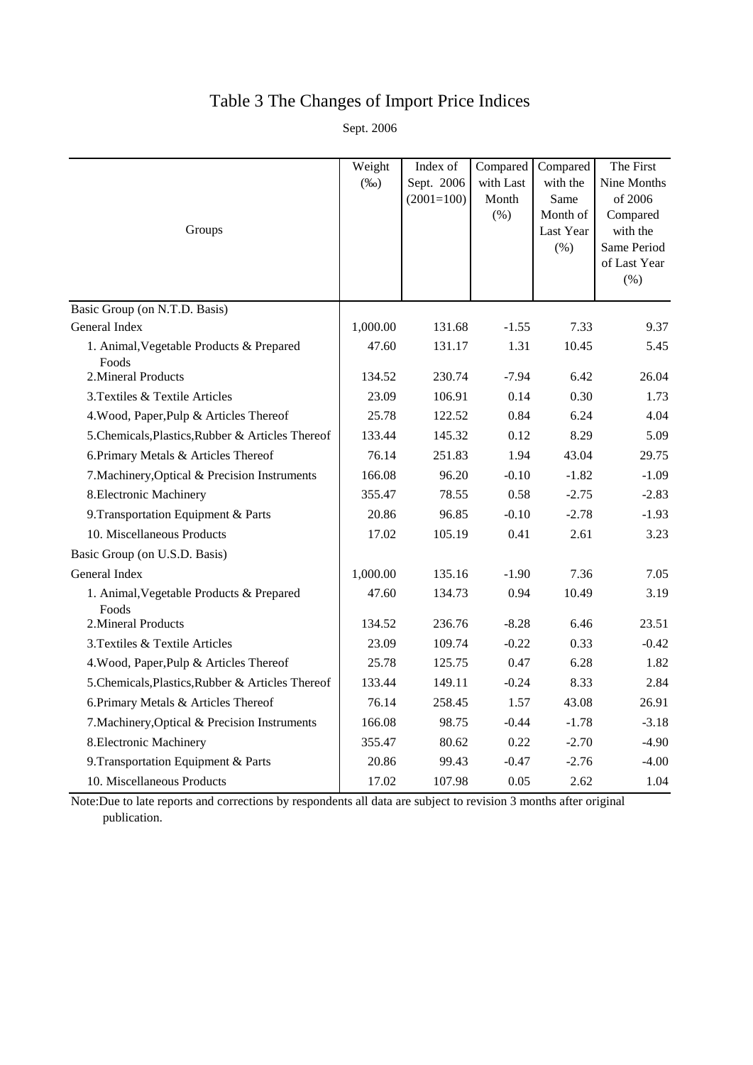# Table 3 The Changes of Import Price Indices

Sept. 2006

|                                                   | Weight   | Index of     | Compared  | Compared             | The First               |
|---------------------------------------------------|----------|--------------|-----------|----------------------|-------------------------|
|                                                   | $(\%0)$  | Sept. 2006   | with Last | with the             | Nine Months             |
|                                                   |          | $(2001=100)$ | Month     | Same                 | of 2006                 |
| Groups                                            |          |              | (% )      | Month of             | Compared                |
|                                                   |          |              |           | Last Year<br>$(\% )$ | with the<br>Same Period |
|                                                   |          |              |           |                      | of Last Year            |
|                                                   |          |              |           |                      | $(\% )$                 |
| Basic Group (on N.T.D. Basis)                     |          |              |           |                      |                         |
| General Index                                     | 1,000.00 | 131.68       | $-1.55$   | 7.33                 | 9.37                    |
| 1. Animal, Vegetable Products & Prepared<br>Foods | 47.60    | 131.17       | 1.31      | 10.45                | 5.45                    |
| 2. Mineral Products                               | 134.52   | 230.74       | $-7.94$   | 6.42                 | 26.04                   |
| 3. Textiles & Textile Articles                    | 23.09    | 106.91       | 0.14      | 0.30                 | 1.73                    |
| 4. Wood, Paper, Pulp & Articles Thereof           | 25.78    | 122.52       | 0.84      | 6.24                 | 4.04                    |
| 5. Chemicals, Plastics, Rubber & Articles Thereof | 133.44   | 145.32       | 0.12      | 8.29                 | 5.09                    |
| 6. Primary Metals & Articles Thereof              | 76.14    | 251.83       | 1.94      | 43.04                | 29.75                   |
| 7. Machinery, Optical & Precision Instruments     | 166.08   | 96.20        | $-0.10$   | $-1.82$              | $-1.09$                 |
| 8. Electronic Machinery                           | 355.47   | 78.55        | 0.58      | $-2.75$              | $-2.83$                 |
| 9. Transportation Equipment & Parts               | 20.86    | 96.85        | $-0.10$   | $-2.78$              | $-1.93$                 |
| 10. Miscellaneous Products                        | 17.02    | 105.19       | 0.41      | 2.61                 | 3.23                    |
| Basic Group (on U.S.D. Basis)                     |          |              |           |                      |                         |
| General Index                                     | 1,000.00 | 135.16       | $-1.90$   | 7.36                 | 7.05                    |
| 1. Animal, Vegetable Products & Prepared<br>Foods | 47.60    | 134.73       | 0.94      | 10.49                | 3.19                    |
| 2. Mineral Products                               | 134.52   | 236.76       | $-8.28$   | 6.46                 | 23.51                   |
| 3. Textiles & Textile Articles                    | 23.09    | 109.74       | $-0.22$   | 0.33                 | $-0.42$                 |
| 4. Wood, Paper, Pulp & Articles Thereof           | 25.78    | 125.75       | 0.47      | 6.28                 | 1.82                    |
| 5. Chemicals, Plastics, Rubber & Articles Thereof | 133.44   | 149.11       | $-0.24$   | 8.33                 | 2.84                    |
| 6. Primary Metals & Articles Thereof              | 76.14    | 258.45       | 1.57      | 43.08                | 26.91                   |
| 7. Machinery, Optical & Precision Instruments     | 166.08   | 98.75        | $-0.44$   | $-1.78$              | $-3.18$                 |
| 8. Electronic Machinery                           | 355.47   | 80.62        | 0.22      | $-2.70$              | $-4.90$                 |
| 9. Transportation Equipment & Parts               | 20.86    | 99.43        | $-0.47$   | $-2.76$              | $-4.00$                 |
| 10. Miscellaneous Products                        | 17.02    | 107.98       | 0.05      | 2.62                 | 1.04                    |

Note:Due to late reports and corrections by respondents all data are subject to revision 3 months after original publication.